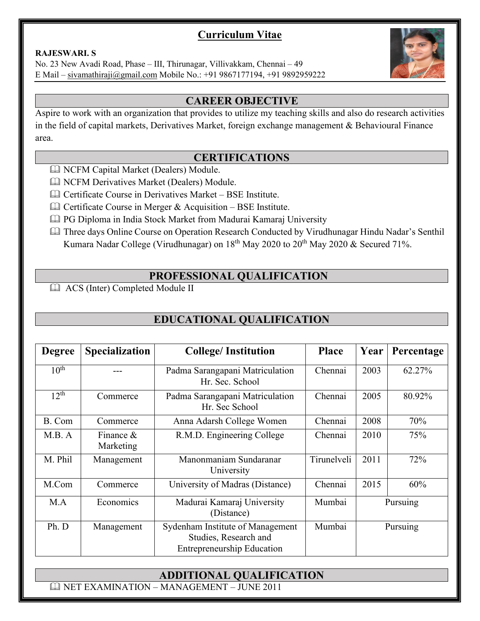## **Curriculum Vitae**

#### **RAJESWARI. S**

No. 23 New Avadi Road, Phase – III, Thirunagar, Villivakkam, Chennai – 49 E Mail – sivamathiraji@gmail.com Mobile No.: +91 9867177194, +91 9892959222

#### **CAREER OBJECTIVE**

Aspire to work with an organization that provides to utilize my teaching skills and also do research activities in the field of capital markets, Derivatives Market, foreign exchange management & Behavioural Finance area.

#### **CERTIFICATIONS**

- NCFM Capital Market (Dealers) Module.
- NCFM Derivatives Market (Dealers) Module.
- Certificate Course in Derivatives Market BSE Institute.
- $\Box$  Certificate Course in Merger & Acquisition BSE Institute.
- PG Diploma in India Stock Market from Madurai Kamaraj University
- Kumara Nadar College (Virudhunagar) on 18<sup>th</sup> May 2020 to 20<sup>th</sup> May 2020 & Secured 71%. Three days Online Course on Operation Research Conducted by Virudhunagar Hindu Nadar's Senthil

### **PROFESSIONAL QUALIFICATION**

ACS (Inter) Completed Module II

## **EDUCATIONAL QUALIFICATION**

| <b>Degree</b>    | <b>Specialization</b>     | <b>College/Institution</b>                                                                     | <b>Place</b> | Year        | Percentage |
|------------------|---------------------------|------------------------------------------------------------------------------------------------|--------------|-------------|------------|
| 10 <sup>th</sup> |                           | Padma Sarangapani Matriculation<br>Hr. Sec. School                                             | Chennai      | 2003        | 62.27%     |
| $12^{th}$        | Commerce                  | Padma Sarangapani Matriculation<br>Hr. Sec School                                              | Chennai      | 2005        | 80.92%     |
| B. Com           | Commerce                  | Anna Adarsh College Women                                                                      | Chennai      | 2008        | 70%        |
| M.B. A           | Finance $\&$<br>Marketing | R.M.D. Engineering College                                                                     | Chennai      | 2010        | 75%        |
| M. Phil          | Management                | Manonmaniam Sundaranar<br>University                                                           | Tirunelveli  | 2011        | 72%        |
| M.Com            | Commerce                  | University of Madras (Distance)                                                                | Chennai      | 2015<br>60% |            |
| M.A              | Economics                 | Madurai Kamaraj University<br>(Distance)                                                       | Mumbai       | Pursuing    |            |
| Ph. D            | Management                | Sydenham Institute of Management<br>Studies, Research and<br><b>Entrepreneurship Education</b> | Mumbai       | Pursuing    |            |

## **ADDITIONAL QUALIFICATION**

NET EXAMINATION – MANAGEMENT – JUNE 2011

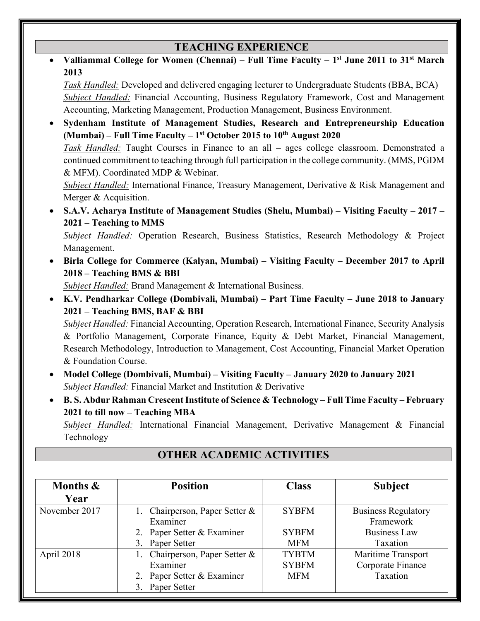### **TEACHING EXPERIENCE**

 **Valliammal College for Women (Chennai) – Full Time Faculty – 1st June 2011 to 31st March 2013** 

*Task Handled:* Developed and delivered engaging lecturer to Undergraduate Students (BBA, BCA) *Subject Handled:* Financial Accounting, Business Regulatory Framework, Cost and Management Accounting, Marketing Management, Production Management, Business Environment.

 **Sydenham Institute of Management Studies, Research and Entrepreneurship Education (Mumbai) – Full Time Faculty – 1st October 2015 to 10th August 2020**  *Task Handled:* Taught Courses in Finance to an all – ages college classroom. Demonstrated a continued commitment to teaching through full participation in the college community. (MMS, PGDM & MFM). Coordinated MDP & Webinar.

*Subject Handled:* International Finance, Treasury Management, Derivative & Risk Management and Merger & Acquisition.

 **S.A.V. Acharya Institute of Management Studies (Shelu, Mumbai) – Visiting Faculty – 2017 – 2021 – Teaching to MMS** 

*Subject Handled:* Operation Research, Business Statistics, Research Methodology & Project Management.

 **Birla College for Commerce (Kalyan, Mumbai) – Visiting Faculty – December 2017 to April 2018 – Teaching BMS & BBI** 

*Subject Handled:* Brand Management & International Business.

 **K.V. Pendharkar College (Dombivali, Mumbai) – Part Time Faculty – June 2018 to January 2021 – Teaching BMS, BAF & BBI** 

*Subject Handled:* Financial Accounting, Operation Research, International Finance, Security Analysis & Portfolio Management, Corporate Finance, Equity & Debt Market, Financial Management, Research Methodology, Introduction to Management, Cost Accounting, Financial Market Operation & Foundation Course.

- **Model College (Dombivali, Mumbai) Visiting Faculty January 2020 to January 2021**  *Subject Handled:* Financial Market and Institution & Derivative
- **B. S. Abdur Rahman Crescent Institute of Science & Technology Full Time Faculty February 2021 to till now – Teaching MBA**

*Subject Handled:* International Financial Management, Derivative Management & Financial Technology

| <b>Position</b><br>Months & |                                | <b>Class</b> | <b>Subject</b>             |  |
|-----------------------------|--------------------------------|--------------|----------------------------|--|
| Year                        |                                |              |                            |  |
| November 2017               | 1. Chairperson, Paper Setter & | <b>SYBFM</b> | <b>Business Regulatory</b> |  |
|                             | Examiner                       |              | Framework                  |  |
|                             | 2. Paper Setter & Examiner     | <b>SYBFM</b> | <b>Business Law</b>        |  |
|                             | 3. Paper Setter                | <b>MFM</b>   | Taxation                   |  |
| April 2018                  | 1. Chairperson, Paper Setter & | <b>TYBTM</b> | Maritime Transport         |  |
|                             | Examiner                       | <b>SYBFM</b> | Corporate Finance          |  |
|                             | 2. Paper Setter & Examiner     | <b>MFM</b>   | Taxation                   |  |
|                             | 3. Paper Setter                |              |                            |  |

### **OTHER ACADEMIC ACTIVITIES**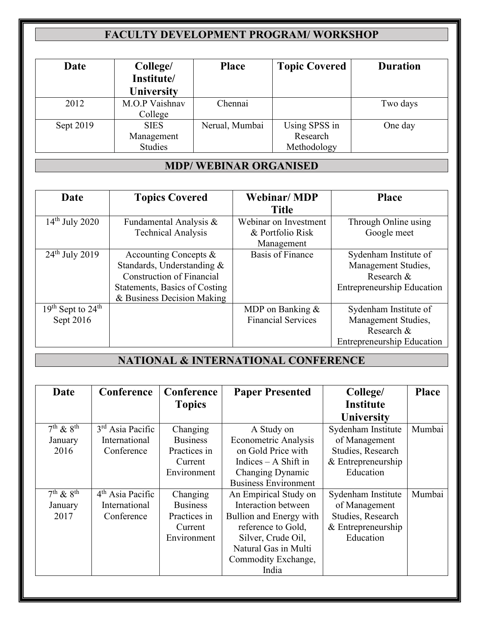# **FACULTY DEVELOPMENT PROGRAM/ WORKSHOP**

| Date      | College/       | <b>Place</b>   | <b>Topic Covered</b> | <b>Duration</b> |
|-----------|----------------|----------------|----------------------|-----------------|
|           | Institute/     |                |                      |                 |
|           | University     |                |                      |                 |
| 2012      | M.O.P Vaishnav | Chennai        |                      | Two days        |
|           | College        |                |                      |                 |
| Sept 2019 | <b>SIES</b>    | Nerual, Mumbai | Using SPSS in        | One day         |
|           | Management     |                | Research             |                 |
|           | Studies        |                | Methodology          |                 |

## **MDP/ WEBINAR ORGANISED**

| Date                  | <b>Topics Covered</b>            | <b>Webinar/MDP</b>        | <b>Place</b>                      |
|-----------------------|----------------------------------|---------------------------|-----------------------------------|
|                       |                                  | <b>Title</b>              |                                   |
| $14th$ July 2020      | Fundamental Analysis &           | Webinar on Investment     | Through Online using              |
|                       | <b>Technical Analysis</b>        | & Portfolio Risk          | Google meet                       |
|                       |                                  | Management                |                                   |
| $24th$ July 2019      | Accounting Concepts $\&$         | <b>Basis of Finance</b>   | Sydenham Institute of             |
|                       | Standards, Understanding &       |                           | Management Studies,               |
|                       | <b>Construction of Financial</b> |                           | Research &                        |
|                       | Statements, Basics of Costing    |                           | <b>Entrepreneurship Education</b> |
|                       | & Business Decision Making       |                           |                                   |
| $19th$ Sept to $24th$ |                                  | MDP on Banking $&$        | Sydenham Institute of             |
| Sept 2016             |                                  | <b>Financial Services</b> | Management Studies,               |
|                       |                                  |                           | Research &                        |
|                       |                                  |                           | <b>Entrepreneurship Education</b> |

## **NATIONAL & INTERNATIONAL CONFERENCE**

| Date                          | Conference         | Conference      | <b>Paper Presented</b>      | College/           | <b>Place</b> |
|-------------------------------|--------------------|-----------------|-----------------------------|--------------------|--------------|
|                               |                    | <b>Topics</b>   |                             | <b>Institute</b>   |              |
|                               |                    |                 |                             | <b>University</b>  |              |
| $7th$ & $8th$                 | $3rd$ Asia Pacific | Changing        | A Study on                  | Sydenham Institute | Mumbai       |
| January                       | International      | <b>Business</b> | Econometric Analysis        | of Management      |              |
| 2016                          | Conference         | Practices in    | on Gold Price with          | Studies, Research  |              |
|                               |                    | Current         | Indices $- A$ Shift in      | & Entrepreneurship |              |
|                               |                    | Environment     | Changing Dynamic            | Education          |              |
|                               |                    |                 | <b>Business Environment</b> |                    |              |
| $\overline{7^{th} \& 8^{th}}$ | $4th$ Asia Pacific | Changing        | An Empirical Study on       | Sydenham Institute | Mumbai       |
| January                       | International      | <b>Business</b> | Interaction between         | of Management      |              |
| 2017                          | Conference         | Practices in    | Bullion and Energy with     | Studies, Research  |              |
|                               |                    | Current         | reference to Gold,          | & Entrepreneurship |              |
|                               |                    | Environment     | Silver, Crude Oil,          | Education          |              |
|                               |                    |                 | Natural Gas in Multi        |                    |              |
|                               |                    |                 | Commodity Exchange,         |                    |              |
|                               |                    |                 | India                       |                    |              |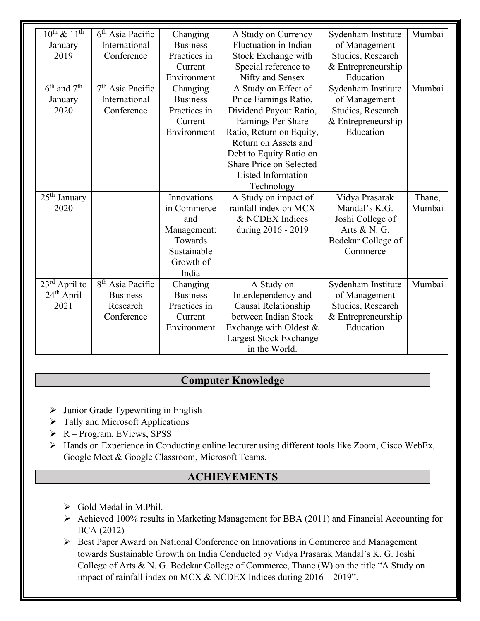| $10^{th}$ & $11^{th}$               | $6th$ Asia Pacific           | Changing        | A Study on Currency      | Sydenham Institute | Mumbai |
|-------------------------------------|------------------------------|-----------------|--------------------------|--------------------|--------|
| January                             | International                | <b>Business</b> | Fluctuation in Indian    | of Management      |        |
| 2019                                | Conference                   | Practices in    | Stock Exchange with      | Studies, Research  |        |
|                                     |                              | Current         | Special reference to     | & Entrepreneurship |        |
|                                     |                              | Environment     | Nifty and Sensex         | Education          |        |
| $6^{\text{th}}$ and $7^{\text{th}}$ | $7th$ Asia Pacific           | Changing        | A Study on Effect of     | Sydenham Institute | Mumbai |
| January                             | International                | <b>Business</b> | Price Earnings Ratio,    | of Management      |        |
| 2020                                | Conference                   | Practices in    | Dividend Payout Ratio,   | Studies, Research  |        |
|                                     |                              | Current         | Earnings Per Share       | & Entrepreneurship |        |
|                                     |                              | Environment     | Ratio, Return on Equity, | Education          |        |
|                                     |                              |                 | Return on Assets and     |                    |        |
|                                     |                              |                 | Debt to Equity Ratio on  |                    |        |
|                                     |                              |                 | Share Price on Selected  |                    |        |
|                                     |                              |                 | Listed Information       |                    |        |
|                                     |                              |                 | Technology               |                    |        |
| 25 <sup>th</sup> January            |                              | Innovations     | A Study on impact of     | Vidya Prasarak     | Thane, |
| 2020                                |                              | in Commerce     | rainfall index on MCX    | Mandal's K.G.      | Mumbai |
|                                     |                              | and             | & NCDEX Indices          | Joshi College of   |        |
|                                     |                              | Management:     | during 2016 - 2019       | Arts & N. G.       |        |
|                                     |                              | Towards         |                          | Bedekar College of |        |
|                                     |                              | Sustainable     |                          | Commerce           |        |
|                                     |                              | Growth of       |                          |                    |        |
|                                     |                              | India           |                          |                    |        |
| $23rd$ April to                     | 8 <sup>th</sup> Asia Pacific | Changing        | A Study on               | Sydenham Institute | Mumbai |
| $24th$ April                        | <b>Business</b>              | <b>Business</b> | Interdependency and      | of Management      |        |
| 2021                                | Research                     | Practices in    | Causal Relationship      | Studies, Research  |        |
|                                     | Conference                   | Current         | between Indian Stock     | & Entrepreneurship |        |
|                                     |                              | Environment     | Exchange with Oldest &   | Education          |        |
|                                     |                              |                 | Largest Stock Exchange   |                    |        |
|                                     |                              |                 | in the World.            |                    |        |

### **Computer Knowledge**

- $\triangleright$  Junior Grade Typewriting in English
- $\triangleright$  Tally and Microsoft Applications
- $\triangleright$  R Program, EViews, SPSS
- Hands on Experience in Conducting online lecturer using different tools like Zoom, Cisco WebEx, Google Meet & Google Classroom, Microsoft Teams.

#### **ACHIEVEMENTS**

- $\triangleright$  Gold Medal in M.Phil.
- Achieved 100% results in Marketing Management for BBA (2011) and Financial Accounting for BCA (2012)
- ▶ Best Paper Award on National Conference on Innovations in Commerce and Management towards Sustainable Growth on India Conducted by Vidya Prasarak Mandal's K. G. Joshi College of Arts & N. G. Bedekar College of Commerce, Thane (W) on the title "A Study on impact of rainfall index on MCX & NCDEX Indices during 2016 – 2019".